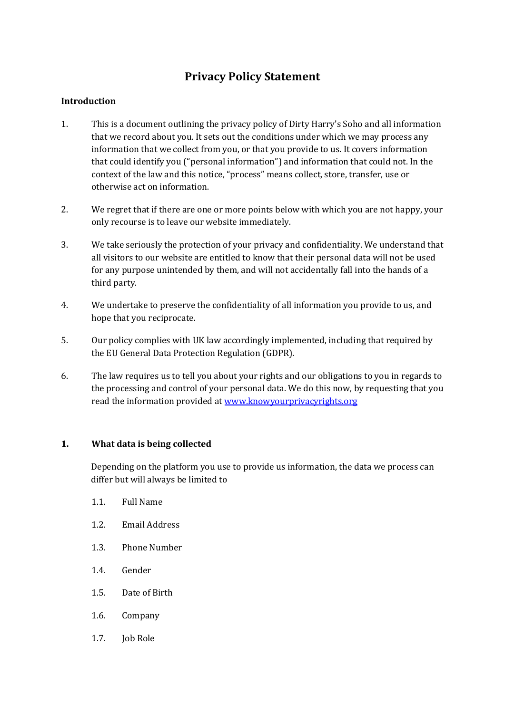# **Privacy Policy Statement**

## **Introduction**

- 1. This is a document outlining the privacy policy of Dirty Harry's Soho and all information that we record about you. It sets out the conditions under which we may process any information that we collect from you, or that you provide to us. It covers information that could identify you ("personal information") and information that could not. In the context of the law and this notice, "process" means collect, store, transfer, use or otherwise act on information.
- 2. We regret that if there are one or more points below with which you are not happy, your only recourse is to leave our website immediately.
- 3. We take seriously the protection of your privacy and confidentiality. We understand that all visitors to our website are entitled to know that their personal data will not be used for any purpose unintended by them, and will not accidentally fall into the hands of a third party.
- 4. We undertake to preserve the confidentiality of all information you provide to us, and hope that you reciprocate.
- 5. Our policy complies with UK law accordingly implemented, including that required by the EU General Data Protection Regulation (GDPR).
- 6. The law requires us to tell you about your rights and our obligations to you in regards to the processing and control of your personal data. We do this now, by requesting that you read the information provided a[t www.knowyourprivacyrights.org](http://www.knowyourprivacyrights.org/)

## **1. What data is being collected**

Depending on the platform you use to provide us information, the data we process can differ but will always be limited to

- 1.1. Full Name
- 1.2. Email Address
- 1.3. Phone Number
- 1.4. Gender
- 1.5. Date of Birth
- 1.6. Company
- 1.7. **Job Role**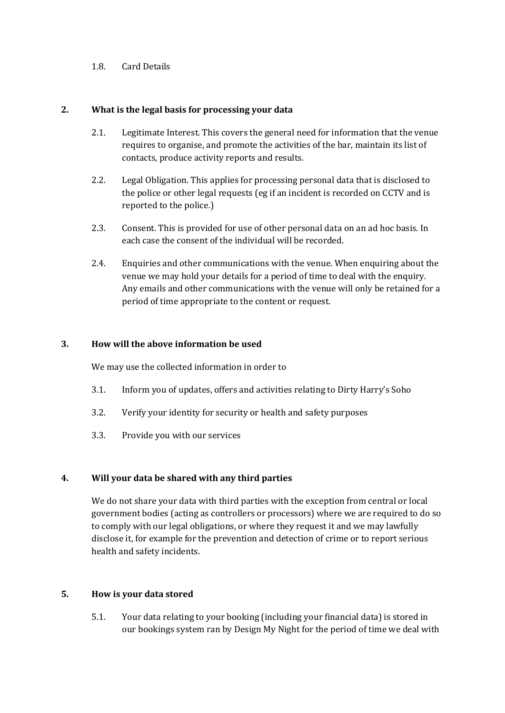### 1.8. Card Details

#### **2. What is the legal basis for processing your data**

- 2.1. Legitimate Interest. This covers the general need for information that the venue requires to organise, and promote the activities of the bar, maintain its list of contacts, produce activity reports and results.
- 2.2. Legal Obligation. This applies for processing personal data that is disclosed to the police or other legal requests (eg if an incident is recorded on CCTV and is reported to the police.)
- 2.3. Consent. This is provided for use of other personal data on an ad hoc basis. In each case the consent of the individual will be recorded.
- 2.4. Enquiries and other communications with the venue. When enquiring about the venue we may hold your details for a period of time to deal with the enquiry. Any emails and other communications with the venue will only be retained for a period of time appropriate to the content or request.

#### **3. How will the above information be used**

We may use the collected information in order to

- 3.1. Inform you of updates, offers and activities relating to Dirty Harry's Soho
- 3.2. Verify your identity for security or health and safety purposes
- 3.3. Provide you with our services

#### **4. Will your data be shared with any third parties**

We do not share your data with third parties with the exception from central or local government bodies (acting as controllers or processors) where we are required to do so to comply with our legal obligations, or where they request it and we may lawfully disclose it, for example for the prevention and detection of crime or to report serious health and safety incidents.

#### **5. How is your data stored**

5.1. Your data relating to your booking (including your financial data) is stored in our bookings system ran by Design My Night for the period of time we deal with